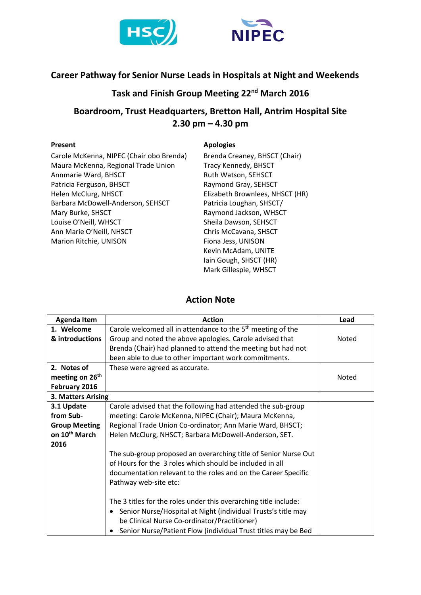



## **Career Pathway for Senior Nurse Leads in Hospitals at Night and Weekends**

# **Task and Finish Group Meeting 22nd March 2016**

# **Boardroom, Trust Headquarters, Bretton Hall, Antrim Hospital Site 2.30 pm – 4.30 pm**

Carole McKenna, NIPEC (Chair obo Brenda) Brenda Creaney, BHSCT (Chair) Maura McKenna, Regional Trade Union Tracy Kennedy, BHSCT Annmarie Ward, BHSCT Ruth Watson, SEHSCT Patricia Ferguson, BHSCT Raymond Gray, SEHSCT Helen McClurg, NHSCT Elizabeth Brownlees, NHSCT (HR) Barbara McDowell-Anderson, SEHSCT Patricia Loughan, SHSCT/ Mary Burke, SHSCT **Raymond Jackson, WHSCT** Louise O'Neill, WHSCT Sheila Dawson, SEHSCT Ann Marie O'Neill, NHSCT Chris McCavana, SHSCT Marion Ritchie, UNISON Fiona Jess, UNISON

### **Present Apologies**

Kevin McAdam, UNITE Iain Gough, SHSCT (HR) Mark Gillespie, WHSCT

### **Action Note**

| <b>Agenda Item</b>          | <b>Action</b>                                                              | Lead  |  |  |
|-----------------------------|----------------------------------------------------------------------------|-------|--|--|
| 1. Welcome                  | Carole welcomed all in attendance to the 5 <sup>th</sup> meeting of the    |       |  |  |
| & introductions             | Group and noted the above apologies. Carole advised that                   | Noted |  |  |
|                             | Brenda (Chair) had planned to attend the meeting but had not               |       |  |  |
|                             | been able to due to other important work commitments.                      |       |  |  |
| 2. Notes of                 | These were agreed as accurate.                                             |       |  |  |
| meeting on 26 <sup>th</sup> |                                                                            | Noted |  |  |
| February 2016               |                                                                            |       |  |  |
| 3. Matters Arising          |                                                                            |       |  |  |
| 3.1 Update                  | Carole advised that the following had attended the sub-group               |       |  |  |
| from Sub-                   | meeting: Carole McKenna, NIPEC (Chair); Maura McKenna,                     |       |  |  |
| <b>Group Meeting</b>        | Regional Trade Union Co-ordinator; Ann Marie Ward, BHSCT;                  |       |  |  |
| on 10 <sup>th</sup> March   | Helen McClurg, NHSCT; Barbara McDowell-Anderson, SET.                      |       |  |  |
| 2016                        |                                                                            |       |  |  |
|                             | The sub-group proposed an overarching title of Senior Nurse Out            |       |  |  |
|                             | of Hours for the 3 roles which should be included in all                   |       |  |  |
|                             | documentation relevant to the roles and on the Career Specific             |       |  |  |
|                             | Pathway web-site etc:                                                      |       |  |  |
|                             |                                                                            |       |  |  |
|                             | The 3 titles for the roles under this overarching title include:           |       |  |  |
|                             | Senior Nurse/Hospital at Night (individual Trusts's title may<br>$\bullet$ |       |  |  |
|                             | be Clinical Nurse Co-ordinator/Practitioner)                               |       |  |  |
|                             | Senior Nurse/Patient Flow (individual Trust titles may be Bed              |       |  |  |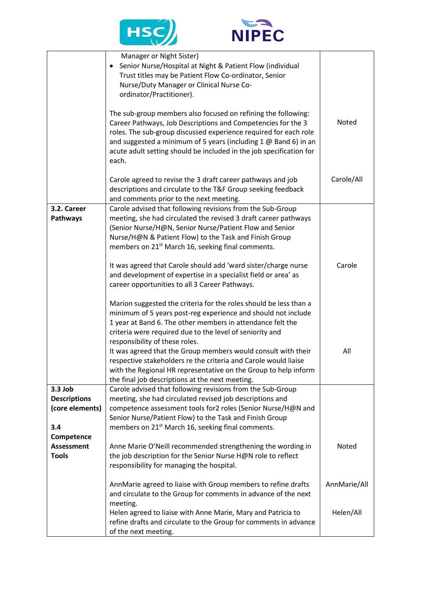



|                     | Manager or Night Sister)                                                                 |              |
|---------------------|------------------------------------------------------------------------------------------|--------------|
|                     | Senior Nurse/Hospital at Night & Patient Flow (individual<br>$\bullet$                   |              |
|                     | Trust titles may be Patient Flow Co-ordinator, Senior                                    |              |
|                     | Nurse/Duty Manager or Clinical Nurse Co-                                                 |              |
|                     | ordinator/Practitioner).                                                                 |              |
|                     |                                                                                          |              |
|                     | The sub-group members also focused on refining the following:                            |              |
|                     | Career Pathways, Job Descriptions and Competencies for the 3                             | Noted        |
|                     | roles. The sub-group discussed experience required for each role                         |              |
|                     | and suggested a minimum of 5 years (including $1 \text{ } \textcircled{a}$ Band 6) in an |              |
|                     | acute adult setting should be included in the job specification for                      |              |
|                     | each.                                                                                    |              |
|                     |                                                                                          |              |
|                     | Carole agreed to revise the 3 draft career pathways and job                              | Carole/All   |
|                     | descriptions and circulate to the T&F Group seeking feedback                             |              |
|                     | and comments prior to the next meeting.                                                  |              |
| 3.2. Career         | Carole advised that following revisions from the Sub-Group                               |              |
| <b>Pathways</b>     | meeting, she had circulated the revised 3 draft career pathways                          |              |
|                     | (Senior Nurse/H@N, Senior Nurse/Patient Flow and Senior                                  |              |
|                     | Nurse/H@N & Patient Flow) to the Task and Finish Group                                   |              |
|                     | members on 21 <sup>st</sup> March 16, seeking final comments.                            |              |
|                     |                                                                                          |              |
|                     | It was agreed that Carole should add 'ward sister/charge nurse                           | Carole       |
|                     | and development of expertise in a specialist field or area' as                           |              |
|                     | career opportunities to all 3 Career Pathways.                                           |              |
|                     |                                                                                          |              |
|                     | Marion suggested the criteria for the roles should be less than a                        |              |
|                     | minimum of 5 years post-reg experience and should not include                            |              |
|                     | 1 year at Band 6. The other members in attendance felt the                               |              |
|                     | criteria were required due to the level of seniority and                                 |              |
|                     | responsibility of these roles.                                                           |              |
|                     | It was agreed that the Group members would consult with their                            | All          |
|                     | respective stakeholders re the criteria and Carole would liaise                          |              |
|                     | with the Regional HR representative on the Group to help inform                          |              |
|                     | the final job descriptions at the next meeting.                                          |              |
| 3.3 Job             | Carole advised that following revisions from the Sub-Group                               |              |
| <b>Descriptions</b> | meeting, she had circulated revised job descriptions and                                 |              |
| (core elements)     | competence assessment tools for2 roles (Senior Nurse/H@N and                             |              |
|                     | Senior Nurse/Patient Flow) to the Task and Finish Group                                  |              |
| 3.4                 | members on 21 <sup>st</sup> March 16, seeking final comments.                            |              |
| Competence          |                                                                                          |              |
| <b>Assessment</b>   | Anne Marie O'Neill recommended strengthening the wording in                              | Noted        |
| <b>Tools</b>        | the job description for the Senior Nurse H@N role to reflect                             |              |
|                     | responsibility for managing the hospital.                                                |              |
|                     |                                                                                          |              |
|                     | AnnMarie agreed to liaise with Group members to refine drafts                            | AnnMarie/All |
|                     | and circulate to the Group for comments in advance of the next                           |              |
|                     | meeting.                                                                                 |              |
|                     | Helen agreed to liaise with Anne Marie, Mary and Patricia to                             | Helen/All    |
|                     | refine drafts and circulate to the Group for comments in advance                         |              |
|                     | of the next meeting.                                                                     |              |